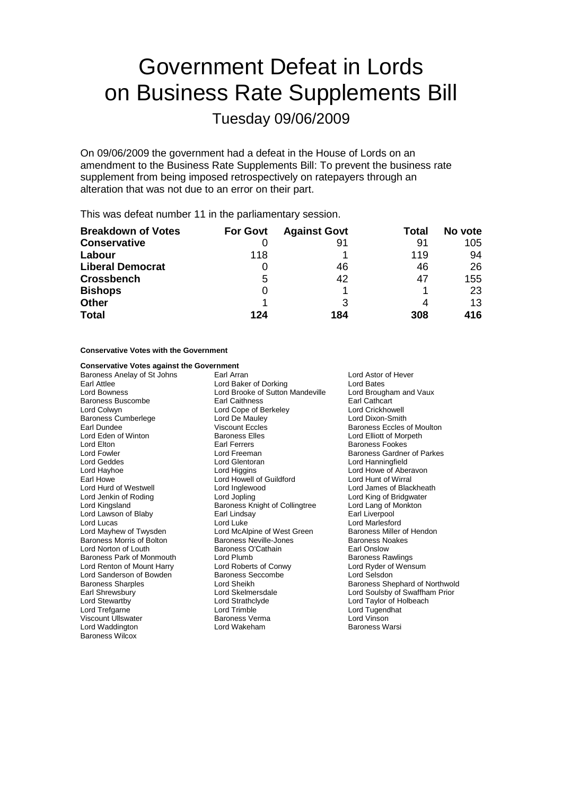# Government Defeat in Lords on Business Rate Supplements Bill

Tuesday 09/06/2009

On 09/06/2009 the government had a defeat in the House of Lords on an amendment to the Business Rate Supplements Bill: To prevent the business rate supplement from being imposed retrospectively on ratepayers through an alteration that was not due to an error on their part.

This was defeat number 11 in the parliamentary session.

| <b>Breakdown of Votes</b> | <b>For Govt</b> | <b>Against Govt</b> | Total | No vote |
|---------------------------|-----------------|---------------------|-------|---------|
| <b>Conservative</b>       |                 | 91                  | 91    | 105     |
| Labour                    | 118             |                     | 119   | 94      |
| <b>Liberal Democrat</b>   |                 | 46                  | 46    | 26      |
| <b>Crossbench</b>         | 5               | 42                  | 47    | 155     |
| <b>Bishops</b>            | 0               |                     |       | 23      |
| <b>Other</b>              |                 | 3                   |       | 13      |
| <b>Total</b>              | 124             | 184                 | 308   | 416     |

### **Conservative Votes with the Government**

### **Conservative Votes against the Government**

Lord Mayhew of Twysden Lord Renton of Mount Harry Viscount Ullswater **Baroness Verman**<br>
Lord Waddington<br>
Lord Wakeham Baroness Wilcox

Baroness Anelay of St Johns Earl Arran Earl Arran Lord Astor of Hever Earl Attlee Early Corresponding Lord Baker of Dorking Lord Bates<br>
Lord Boxness Lord Brooke of Sutton Mandeville Lord Brougham and Vaux Lord Brooke of Sutton Mandeville Lord Brougha<br>Earl Caithness **Lauxe** Earl Cathcart Baroness Buscombe Earl Caithness Earl Cathcart Lord Cope of Berkeley Baroness Cumberlege Lord De Mauley Lord De Lord Dixon-Smith<br>
Lord Dixon-Smith<br>
Lord Dundee Coles Viscount Eccles<br>
Lord Dixon-Smith Earl Dundee **Viscount Eccles** Baroness Eccles of Moulton<br>
Lord Eden of Winton **Baroness Elles** Baroness Elles **Contract Exclusive Exclusive Exclusive** Lord Elliott of Morpeth Lord Eden of Winton **Baroness Elles** Lord Elliott of Morpeth Lord Elliott of Morpeth Baroness Equation Carl Ethn Lord Elliott of Morpeth Carl Ethn Lord Elliott of Morpeth Earl Experiment Carl Ethn Lord Elliott of Morpeth E Earl Ferrers **Earl Earl Earl Earl Earl Earl Earl Earl** Baroness Fookes Lord Fowler **Lord Freeman** Lord Freeman **Baroness Gardner of Parkes**<br>
Lord Geddes **Baroness Corporation**<br>
Lord Geddes **Baroness Corporation**<br>
Lord Geddes **Baroness Corporation** Lord Geddes Lord Glentoran Lord Hanningfield Earl Howe Lord Howell Cord Howell of Guildford Cord Hunt of Wirral<br>
Lord Hund of Westwell Lord Inglewood Lord Lord James of Blac Lord Hurd of Westwell **Lord Inglewood** Lord Lord James of Blackheath<br>
Lord Jenkin of Roding **Lord Lord Lord Lord Lord Lord Cord King of Bridgwater** Lord Kingsland Baroness Knight of Collingtree Lord Lang of Monkton Lord Lawson of Blaby Earl Lindsay Earl Liverpool Lord Luke<br>
Lord McAlpine of West Green<br>
Baroness Miller of Hendon Baroness Morris of Bolton **Baroness Neville-Jones** Baroness Noakes<br> **Baroness Noakes**<br>
Lord Norton of Louth **Baroness O'Cathain** Lord Norton of Louth **Baroness O'Cathain**<br>
Baroness Park of Monmouth Lord Plumb<br>
Baroness Rawlings Baroness Park of Monmouth Lord Plumb<br>
Lord Renton of Mount Harry Lord Roberts of Conwy Lord Ryder of Wensum Lord Sanderson of Bowden Baroness Seccombe<br>
Baroness Sharples Corp Lord Sheikh<br>
Lord Sheikh<br>
Baroness She Lord Stewartby Lord Strathclyde Lord Taylor of Holbeach Lord Trefgarne **Lord Trimble Lord Trimble** Lord Trimble Lord Tugendhat<br>
Viscount Ullswater **Container Baroness Verma** Lord Vinson

Lord Howe of Aberavon Lord King of Bridgwater Baroness Sharples **Exercise Sharples** Lord Sheikh Baroness Shephard of Northwold<br>
Earl Shrewsbury **Baroness Shephard of Northwold**<br>
Lord Soulsby of Swaffham Prior Lord Skelmersdale Lord Soulsby of Swaffham Prior Baroness Warsi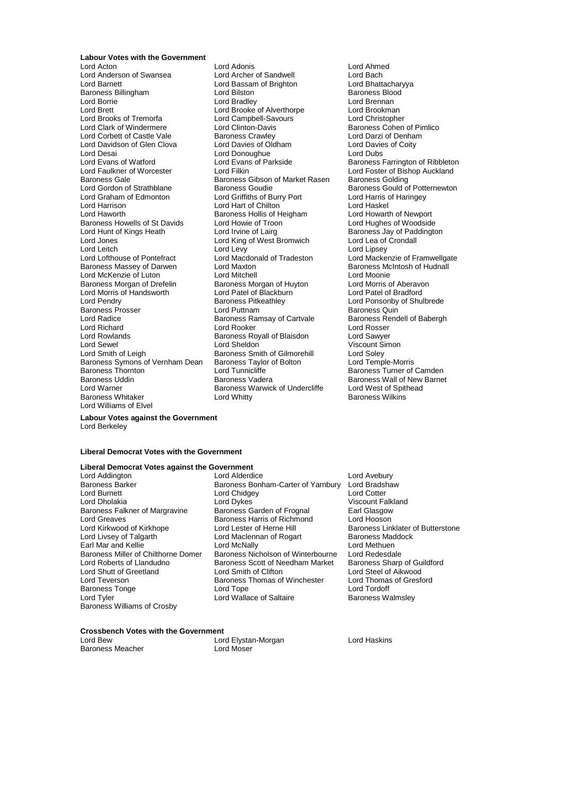**Labour Votes with the Government**<br>Lord Acton

Lord Anderson of Swansea Lord Archer of Sandwell Lord Bach Lord Barnett Lord Bassam of Brighton Cord Bhattachary<br>Baroness Billingham Cord Bilston Lord Bilston Corness Blood Baroness Billingham **Lord Bilston**<br>
Lord Borrie **Baroness** Baroness Bilston Bradley Lord Borrie Lord Bradley Lord Brennan<br>
Lord Brennan<br>
Lord Brennan Lord Brennan Lord Brennan Lord Brennan Lord Brennan Lord Brooks of Tremorfa Lord Campbell-Savours Cord Christopher<br>
Lord Clark of Windermere Lord Clinton-Davis Corner Baroness Cohen Lord Corbett of Castle Vale<br>Lord Davidson of Glen Clova Lord Davidson of Glen Clova Lord Davies of Oldham Lord Davies of Coity Lord Desai **Lord Donoughue**<br>
Lord Evans of Watford **Lord Evans of Parkside** Lord Evans of Watford **Lord Evans of Parkside** Baroness Farrington of Ribbleton<br>Lord Faulkner of Worcester Lord Filkin **Lord Example 19** Lord Foster of Bishop Auckland Baroness Gale Baroness Gibson of Market Rasen Baroness Golding<br>Lord Gordon of Strathblane Baroness Goudie Baroness Gould o Lord Gordon of Strathblane **Baroness Goudie** Baroness Gould of Potternewton<br>
Baroness Gould of Potternewton<br>
Lord Graham of Edmonton **Baroness Could Filters** of Burry Port **Baroness Could Altaring** Lord Graham of Edmonton Lord Griffiths of Burry Port Lord Harris c<br>Lord Harrison Lord Harris Chilton Lord Haskel Lord Harrison **Lord Hart of Chilton**<br>
Lord Haworth **College Baroness Hollis of Heigham** Lord Howarth of Newport Baroness Howells of St Davids Lord Howie of Troon Lord Hunt of Kings Heath Lord Irvine of Lairg Lord Jones Lord King of West Bromwich Lord Lea of Crondall Lord Leitch Levy Lord Levy Lord Levy Lord Lipsey<br>Lord Lofthouse of Pontefract Lord Macdonald of Tradeston Lord Macke Baroness Massey of Darwen Lord Maxton Lord McKenzie of Luton **Lord Mitchell** Lord Mitchell Lord Moonie<br>
Baroness Morgan of Drefelin Baroness Morgan of Huyton Lord Morris of Aberavon Baroness Morgan of Drefelin Baroness Morgan of Huyton Lord Morris of Aberavon<br>
Lord Morris of Handsworth Lord Patel of Blackburn Lord Patel of Bradford Lord Morris of Handsworth Lord Patel of Blackburn Lord Patel of Blackburn Lord Patel of Bradford Lord Patel of Baroness Prosser **Exercise Secure Lord Puttnam Constructs Community** Baroness Quin<br>Lord Radice **Lord Baroness Ramsay of Cartyale** Baroness Rendell of Babergh Lord Radice **Baroness Ramsay of Cartvale** Baroness Rendell Baroness Rendell **Baroness Rendell Baroness Rendell Ord Rosser**<br>Lord Richard **Baber** Lord Rooker Lord Richard Lord Rooker Lord Rosser Lord Rowlands **Baroness Royall of Blaisdon** Lord Sawyer<br>
Lord Sewel **Lord Sheldon** Cord Sheldon **Cord Sheldon** Viscount Sim Lord Sewel Cord Sheldon Cord Sheldon Viscount Simon<br>
Lord Smith of Leigh Cord Saroness Smith of Gilmorehill Lord Soley Baroness Symons of Vernham Dean Baroness Thornton Lord Tunnicliffe Baroness Turner of Camden Baroness Uddin **Baroness Vadera** Baroness Wall of New Barnet<br>
Lord Warner **Baroness Warwick of Undercliffe** Lord West of Spithead Baroness Whitaker Lord Whittv Lord Williams of Elvel

Lord Adonis<br>
Lord Archer of Sandwell<br>
Lord Bach Lord Brooke of Alverthorpe Lord Clinton-Davis<br>
Baroness Crawley<br>
Lord Darzi of Denham Baroness Hollis of Heigham Lord Howarth of Newport<br>
Lord Howie of Troon Lord Hughes of Woodside Baroness Smith of Gilmorehill Lord Soley<br>
Baroness Taylor of Bolton Lord Temple-Morris **Baroness Warwick of Undercliffe** Lord West of Spithead Lord White<br>Lord Whitty Baroness Wilkins

Lord Foster of Bishop Auckland Baroness Jay of Paddington Lord Mackenzie of Framwellgate<br>Baroness McIntosh of Hudnall Lord Ponsonby of Shulbrede

**Labour Votes against the Government** Lord Berkeley

### **Liberal Democrat Votes with the Government**

### **Liberal Democrat Votes against the Government**

Lord Burnett<br>
Lord Dholakia<br>
Lord Dykes Baroness Falkner of Margravine Baroness Williams of Crosby

Lord Addington **Lord Alderdice** Lord Alderdice Lord Avebury<br>Baroness Barker Baroness Bonham-Carter of Yarnhury Lord Rradshaw Baroness Barker Baroness Bonham-Carter of Yarnbury Lord Bradshaw<br>Lord Burnett Lord Chidgev Lord Chidgev Lord Dykes<br>
Baroness Garden of Frognal<br>
Earl Glasgow Lord Greaves **Baroness Harris of Richmond** Lord Hooson<br>
Lord Kirkwood of Kirkhope Lord Lester of Herne Hill **Baroness** Lin Lord Kirkwood of Kirkhope Lord Lester of Herne Hill Baroness Linklater of Butterstone<br>
Lord Livsey of Talgarth Lord Maclennan of Rogart Baroness Maddock Lord Maclennan of Rogart Baroness Mac<br>Lord McNally Baroness Mac Earl Mar and Kellie<br>Lord McNally Lord Methuen<br>Baroness Miller of Chilthorne Domer Baroness Nicholson of Winterbourne Lord Redesdale Baroness Miller of Chilthorne Domer Baroness Nicholson of Winterbourne Lord Redesdale<br>Lord Roberts of Llandudno **Baroness Scott of Needham Market** Baroness Sharp of Guildford Express Scott of Needham Market Baroness Sharp of Guildeno Baroness Sharp of Guildeno Baroness Sharp of Guilden Lord Shutt of Greetland Lord Smith of Clifton Lord Steel of Aikwood Lord Teverson **Baroness Thomas of Winchester** Lord Thomas **Baroness Thomas** Cord Thomas Cord Thomas Cord Tordoff Baroness Tonge The Lord Tope Controller and Tordoff Lord Tordoff Lord Tordoff Lord Tordoff Lord Tordoff Lord T<br>Lord Tord Tordoff Lord Wallace of Saltaire Charles Baroness Walmslev Lord Wallace of Saltaire

### **Crossbench Votes with the Government**

| Lord Bew         | Lord Elystan-Morgan |
|------------------|---------------------|
| Baroness Meacher | Lord Moser          |

Lord Haskins